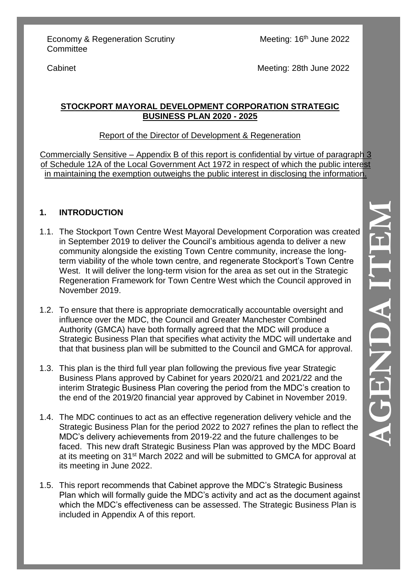Meeting: 16<sup>th</sup> June 2022

Cabinet

Meeting: 28th June 2022

### **STOCKPORT MAYORAL DEVELOPMENT CORPORATION STRATEGIC BUSINESS PLAN 2020 - 2025**

### Report of the Director of Development & Regeneration

Commercially Sensitive – Appendix B of this report is confidential by virtue of paragraph 3 of Schedule 12A of the Local Government Act 1972 in respect of which the public interest in maintaining the exemption outweighs the public interest in disclosing the information.

# **1. INTRODUCTION**

- 1.1. The Stockport Town Centre West Mayoral Development Corporation was created in September 2019 to deliver the Council's ambitious agenda to deliver a new community alongside the existing Town Centre community, increase the longterm viability of the whole town centre, and regenerate Stockport's Town Centre West. It will deliver the long-term vision for the area as set out in the Strategic Regeneration Framework for Town Centre West which the Council approved in November 2019.
- 1.2. To ensure that there is appropriate democratically accountable oversight and influence over the MDC, the Council and Greater Manchester Combined Authority (GMCA) have both formally agreed that the MDC will produce a Strategic Business Plan that specifies what activity the MDC will undertake and that that business plan will be submitted to the Council and GMCA for approval.
- 1.3. This plan is the third full year plan following the previous five year Strategic Business Plans approved by Cabinet for years 2020/21 and 2021/22 and the interim Strategic Business Plan covering the period from the MDC's creation to the end of the 2019/20 financial year approved by Cabinet in November 2019.
- 1.4. The MDC continues to act as an effective regeneration delivery vehicle and the Strategic Business Plan for the period 2022 to 2027 refines the plan to reflect the MDC's delivery achievements from 2019-22 and the future challenges to be faced. This new draft Strategic Business Plan was approved by the MDC Board at its meeting on 31<sup>st</sup> March 2022 and will be submitted to GMCA for approval at its meeting in June 2022.
- 1.5. This report recommends that Cabinet approve the MDC's Strategic Business Plan which will formally guide the MDC's activity and act as the document against which the MDC's effectiveness can be assessed. The Strategic Business Plan is included in Appendix A of this report.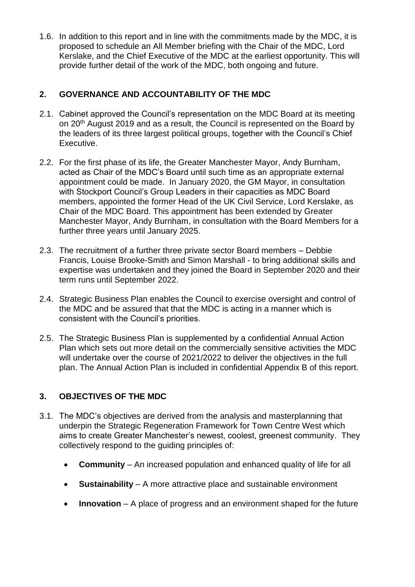1.6. In addition to this report and in line with the commitments made by the MDC, it is proposed to schedule an All Member briefing with the Chair of the MDC, Lord Kerslake, and the Chief Executive of the MDC at the earliest opportunity. This will provide further detail of the work of the MDC, both ongoing and future.

### **2. GOVERNANCE AND ACCOUNTABILITY OF THE MDC**

- 2.1. Cabinet approved the Council's representation on the MDC Board at its meeting on 20<sup>th</sup> August 2019 and as a result, the Council is represented on the Board by the leaders of its three largest political groups, together with the Council's Chief Executive.
- 2.2. For the first phase of its life, the Greater Manchester Mayor, Andy Burnham, acted as Chair of the MDC's Board until such time as an appropriate external appointment could be made. In January 2020, the GM Mayor, in consultation with Stockport Council's Group Leaders in their capacities as MDC Board members, appointed the former Head of the UK Civil Service, Lord Kerslake, as Chair of the MDC Board. This appointment has been extended by Greater Manchester Mayor, Andy Burnham, in consultation with the Board Members for a further three years until January 2025.
- 2.3. The recruitment of a further three private sector Board members Debbie Francis, Louise Brooke-Smith and Simon Marshall - to bring additional skills and expertise was undertaken and they joined the Board in September 2020 and their term runs until September 2022.
- 2.4. Strategic Business Plan enables the Council to exercise oversight and control of the MDC and be assured that that the MDC is acting in a manner which is consistent with the Council's priorities.
- 2.5. The Strategic Business Plan is supplemented by a confidential Annual Action Plan which sets out more detail on the commercially sensitive activities the MDC will undertake over the course of 2021/2022 to deliver the objectives in the full plan. The Annual Action Plan is included in confidential Appendix B of this report.

# **3. OBJECTIVES OF THE MDC**

- 3.1. The MDC's objectives are derived from the analysis and masterplanning that underpin the Strategic Regeneration Framework for Town Centre West which aims to create Greater Manchester's newest, coolest, greenest community. They collectively respond to the guiding principles of:
	- **Community** An increased population and enhanced quality of life for all
	- **Sustainability** A more attractive place and sustainable environment
	- **Innovation** A place of progress and an environment shaped for the future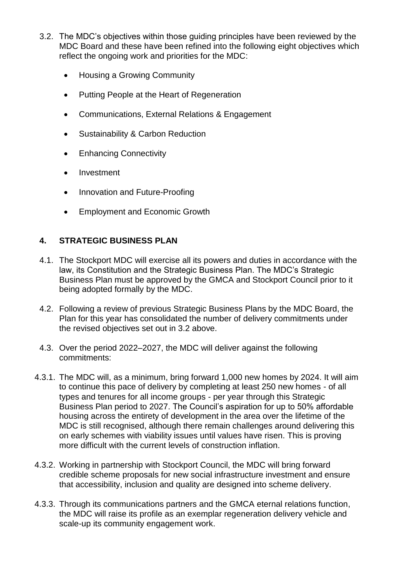- 3.2. The MDC's objectives within those guiding principles have been reviewed by the MDC Board and these have been refined into the following eight objectives which reflect the ongoing work and priorities for the MDC:
	- Housing a Growing Community
	- Putting People at the Heart of Regeneration
	- Communications, External Relations & Engagement
	- Sustainability & Carbon Reduction
	- Enhancing Connectivity
	- Investment
	- Innovation and Future-Proofing
	- **Employment and Economic Growth**

# **4. STRATEGIC BUSINESS PLAN**

- 4.1. The Stockport MDC will exercise all its powers and duties in accordance with the law, its Constitution and the Strategic Business Plan. The MDC's Strategic Business Plan must be approved by the GMCA and Stockport Council prior to it being adopted formally by the MDC.
- 4.2. Following a review of previous Strategic Business Plans by the MDC Board, the Plan for this year has consolidated the number of delivery commitments under the revised objectives set out in 3.2 above.
- 4.3. Over the period 2022–2027, the MDC will deliver against the following commitments:
- 4.3.1. The MDC will, as a minimum, bring forward 1,000 new homes by 2024. It will aim to continue this pace of delivery by completing at least 250 new homes - of all types and tenures for all income groups - per year through this Strategic Business Plan period to 2027. The Council's aspiration for up to 50% affordable housing across the entirety of development in the area over the lifetime of the MDC is still recognised, although there remain challenges around delivering this on early schemes with viability issues until values have risen. This is proving more difficult with the current levels of construction inflation.
- 4.3.2. Working in partnership with Stockport Council, the MDC will bring forward credible scheme proposals for new social infrastructure investment and ensure that accessibility, inclusion and quality are designed into scheme delivery.
- 4.3.3. Through its communications partners and the GMCA eternal relations function, the MDC will raise its profile as an exemplar regeneration delivery vehicle and scale-up its community engagement work.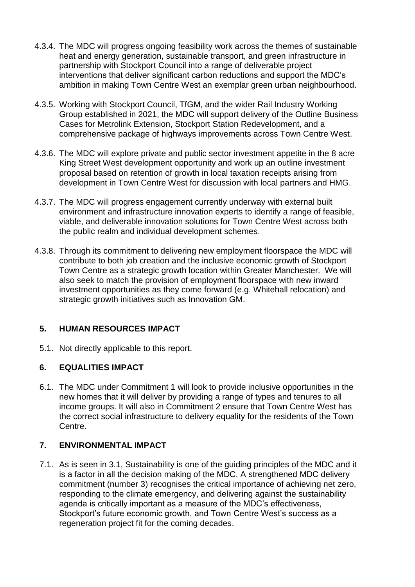- 4.3.4. The MDC will progress ongoing feasibility work across the themes of sustainable heat and energy generation, sustainable transport, and green infrastructure in partnership with Stockport Council into a range of deliverable project interventions that deliver significant carbon reductions and support the MDC's ambition in making Town Centre West an exemplar green urban neighbourhood.
- 4.3.5. Working with Stockport Council, TfGM, and the wider Rail Industry Working Group established in 2021, the MDC will support delivery of the Outline Business Cases for Metrolink Extension, Stockport Station Redevelopment, and a comprehensive package of highways improvements across Town Centre West.
- 4.3.6. The MDC will explore private and public sector investment appetite in the 8 acre King Street West development opportunity and work up an outline investment proposal based on retention of growth in local taxation receipts arising from development in Town Centre West for discussion with local partners and HMG.
- 4.3.7. The MDC will progress engagement currently underway with external built environment and infrastructure innovation experts to identify a range of feasible, viable, and deliverable innovation solutions for Town Centre West across both the public realm and individual development schemes.
- 4.3.8. Through its commitment to delivering new employment floorspace the MDC will contribute to both job creation and the inclusive economic growth of Stockport Town Centre as a strategic growth location within Greater Manchester. We will also seek to match the provision of employment floorspace with new inward investment opportunities as they come forward (e.g. Whitehall relocation) and strategic growth initiatives such as Innovation GM.

### **5. HUMAN RESOURCES IMPACT**

5.1. Not directly applicable to this report.

# **6. EQUALITIES IMPACT**

6.1. The MDC under Commitment 1 will look to provide inclusive opportunities in the new homes that it will deliver by providing a range of types and tenures to all income groups. It will also in Commitment 2 ensure that Town Centre West has the correct social infrastructure to delivery equality for the residents of the Town Centre.

# **7. ENVIRONMENTAL IMPACT**

7.1. As is seen in 3.1, Sustainability is one of the guiding principles of the MDC and it is a factor in all the decision making of the MDC. A strengthened MDC delivery commitment (number 3) recognises the critical importance of achieving net zero, responding to the climate emergency, and delivering against the sustainability agenda is critically important as a measure of the MDC's effectiveness, Stockport's future economic growth, and Town Centre West's success as a regeneration project fit for the coming decades.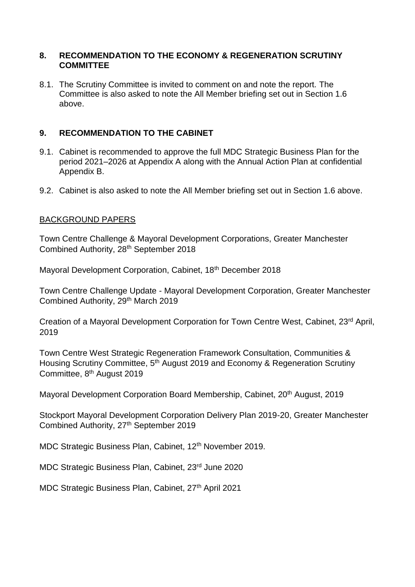#### **8. RECOMMENDATION TO THE ECONOMY & REGENERATION SCRUTINY COMMITTEE**

8.1. The Scrutiny Committee is invited to comment on and note the report. The Committee is also asked to note the All Member briefing set out in Section 1.6 above.

### **9. RECOMMENDATION TO THE CABINET**

- 9.1. Cabinet is recommended to approve the full MDC Strategic Business Plan for the period 2021–2026 at Appendix A along with the Annual Action Plan at confidential Appendix B.
- 9.2. Cabinet is also asked to note the All Member briefing set out in Section 1.6 above.

### BACKGROUND PAPERS

Town Centre Challenge & Mayoral Development Corporations, Greater Manchester Combined Authority, 28th September 2018

Mayoral Development Corporation, Cabinet, 18th December 2018

Town Centre Challenge Update - Mayoral Development Corporation, Greater Manchester Combined Authority, 29<sup>th</sup> March 2019

Creation of a Mayoral Development Corporation for Town Centre West, Cabinet, 23rd April, 2019

Town Centre West Strategic Regeneration Framework Consultation, Communities & Housing Scrutiny Committee, 5th August 2019 and Economy & Regeneration Scrutiny Committee, 8th August 2019

Mayoral Development Corporation Board Membership, Cabinet, 20th August, 2019

Stockport Mayoral Development Corporation Delivery Plan 2019-20, Greater Manchester Combined Authority, 27<sup>th</sup> September 2019

MDC Strategic Business Plan, Cabinet, 12<sup>th</sup> November 2019.

MDC Strategic Business Plan, Cabinet, 23rd June 2020

MDC Strategic Business Plan, Cabinet, 27<sup>th</sup> April 2021